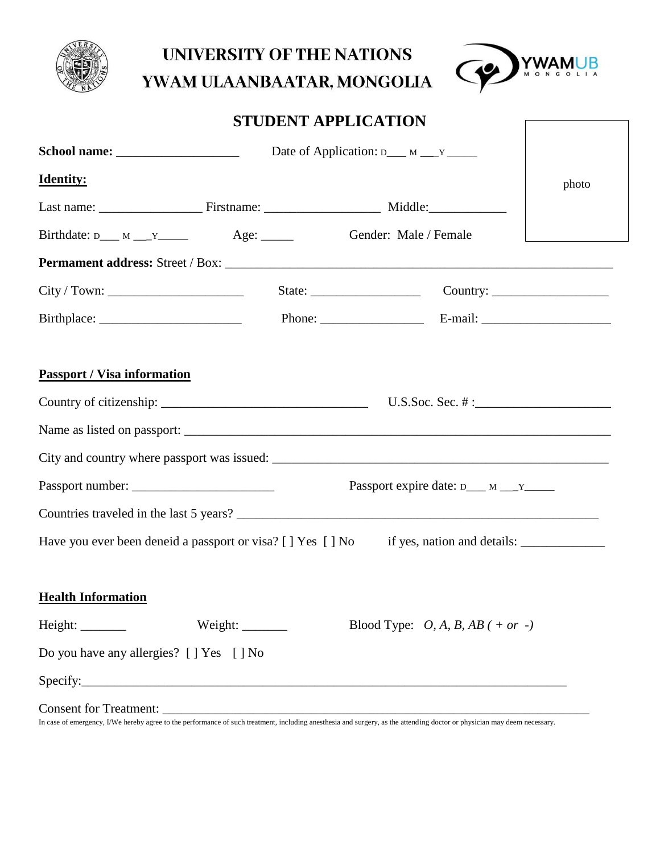

## **UNIVERSITY OF THE NATIONS**



## YWAM ULAANBAATAR, MONGOLIA

|  | <b>STUDENT APPLICATION</b> |
|--|----------------------------|
|--|----------------------------|

|                                                                                                     | Date of Application: $D_{\text{max}} = N_{\text{max}}$ |       |
|-----------------------------------------------------------------------------------------------------|--------------------------------------------------------|-------|
| <b>Identity:</b>                                                                                    |                                                        | photo |
|                                                                                                     |                                                        |       |
| $Birthdate: D \_\ M \_\ Y \_\$ Age:                                                                 | Gender: Male / Female                                  |       |
|                                                                                                     |                                                        |       |
|                                                                                                     |                                                        |       |
|                                                                                                     |                                                        |       |
| <b>Passport / Visa information</b>                                                                  |                                                        |       |
|                                                                                                     |                                                        |       |
|                                                                                                     |                                                        |       |
|                                                                                                     |                                                        |       |
|                                                                                                     | Passport expire date: $D_{\text{max}} M_{\text{max}}$  |       |
| Countries traveled in the last 5 years?                                                             |                                                        |       |
| Have you ever been deneid a passport or visa? [] Yes [] No if yes, nation and details: ____________ |                                                        |       |
| <b>Health Information</b>                                                                           |                                                        |       |
| Height: ________                                                                                    | Blood Type: $O, A, B, AB$ ( + or -)                    |       |
| Do you have any allergies? [ ] Yes [ ] No                                                           |                                                        |       |
| Specify: Specify:                                                                                   |                                                        |       |
|                                                                                                     |                                                        |       |

In case of emergency, I/We hereby agree to the performance of such treatment, including anesthesia and surgery, as the attending doctor or physician may deem necessary.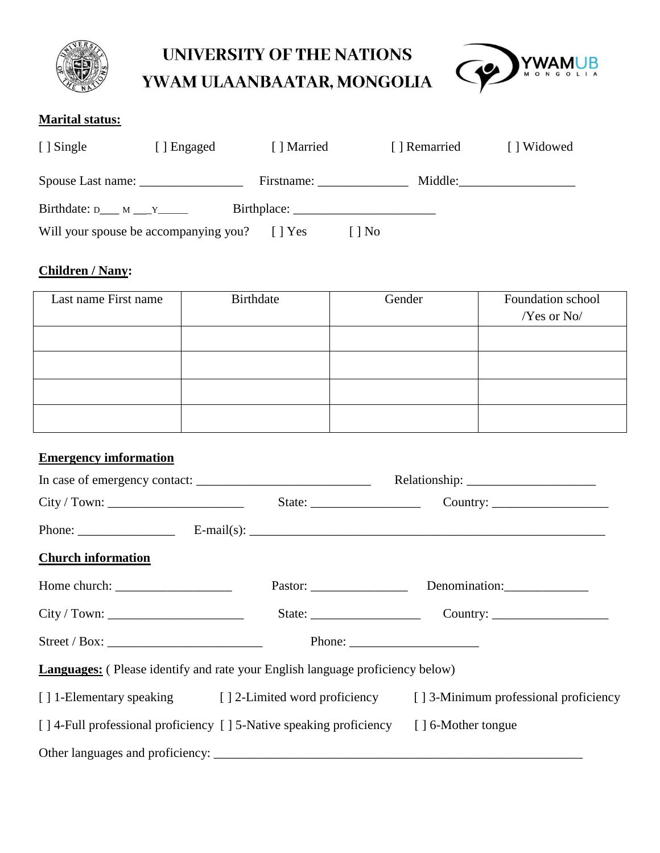

# **UNIVERSITY OF THE NATIONS**

YWAM ULAANBAATAR, MONGOLIA



#### **Marital status:**

| [ ] Single                                 | [ ] Engaged | [ ] Married   | [ ] Remarried | [] Widowed |
|--------------------------------------------|-------------|---------------|---------------|------------|
|                                            |             | Firstname:    |               | Middle:    |
| Birthdate: $D_{\text{max}} M_{\text{max}}$ |             |               |               |            |
| Will your spouse be accompanying you?      |             | $\vert$   Yes | No            |            |

#### **Children / Nany:**

| Last name First name | Birthdate | Gender | Foundation school<br>/Yes or No/ |
|----------------------|-----------|--------|----------------------------------|
|                      |           |        |                                  |
|                      |           |        |                                  |
|                      |           |        |                                  |
|                      |           |        |                                  |

#### **Emergency imformation**

| <b>Church information</b> |                                                                                        |                                                                                                                                                                                                                                                                                                                                                                                                              |
|---------------------------|----------------------------------------------------------------------------------------|--------------------------------------------------------------------------------------------------------------------------------------------------------------------------------------------------------------------------------------------------------------------------------------------------------------------------------------------------------------------------------------------------------------|
|                           |                                                                                        | Pastor: Denomination:                                                                                                                                                                                                                                                                                                                                                                                        |
|                           |                                                                                        |                                                                                                                                                                                                                                                                                                                                                                                                              |
|                           |                                                                                        | Phone: $\frac{1}{\sqrt{1-\frac{1}{2}}\sqrt{1-\frac{1}{2}}\sqrt{1-\frac{1}{2}}\sqrt{1-\frac{1}{2}}\sqrt{1-\frac{1}{2}}\sqrt{1-\frac{1}{2}}\sqrt{1-\frac{1}{2}}\sqrt{1-\frac{1}{2}}\sqrt{1-\frac{1}{2}}\sqrt{1-\frac{1}{2}}\sqrt{1-\frac{1}{2}}\sqrt{1-\frac{1}{2}}\sqrt{1-\frac{1}{2}}\sqrt{1-\frac{1}{2}}\sqrt{1-\frac{1}{2}}\sqrt{1-\frac{1}{2}}\sqrt{1-\frac{1}{2}}\sqrt{1-\frac{1}{2}}\sqrt{1-\frac{1}{2$ |
|                           | <b>Languages:</b> (Please identify and rate your English language proficiency below)   |                                                                                                                                                                                                                                                                                                                                                                                                              |
|                           |                                                                                        | [] 1-Elementary speaking [] 2-Limited word proficiency [] 3-Minimum professional proficiency                                                                                                                                                                                                                                                                                                                 |
|                           | [] 4-Full professional proficiency [] 5-Native speaking proficiency [] 6-Mother tongue |                                                                                                                                                                                                                                                                                                                                                                                                              |
|                           |                                                                                        |                                                                                                                                                                                                                                                                                                                                                                                                              |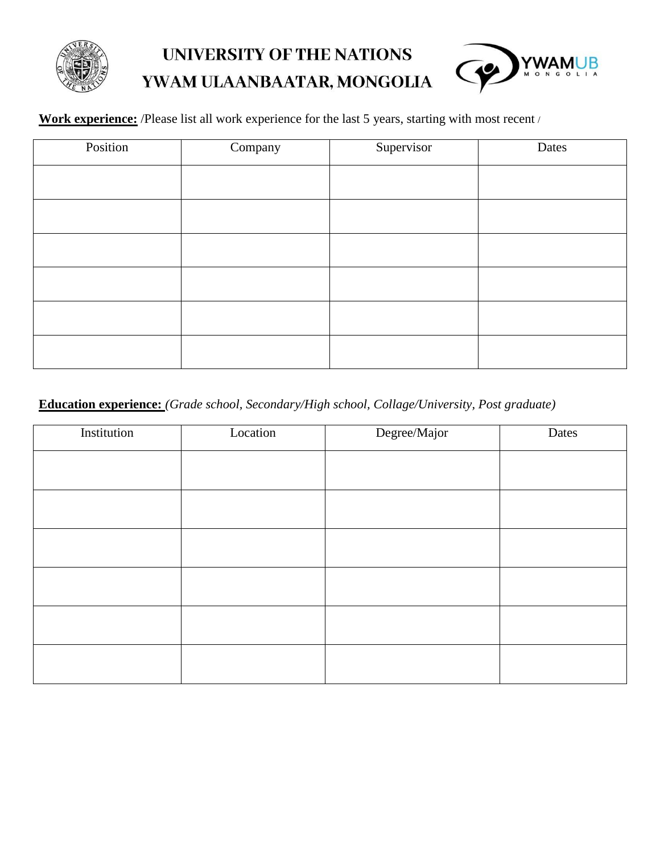

## UNIVERSITY OF THE NATIONS YWAM ULAANBAATAR, MONGOLIA



**Work experience:** /Please list all work experience for the last 5 years, starting with most recent /

| Position | Company | Supervisor | Dates |
|----------|---------|------------|-------|
|          |         |            |       |
|          |         |            |       |
|          |         |            |       |
|          |         |            |       |
|          |         |            |       |
|          |         |            |       |

#### **Education experience:** *(Grade school, Secondary/High school, Collage/University, Post graduate)*

| Institution | Location | Degree/Major | Dates |
|-------------|----------|--------------|-------|
|             |          |              |       |
|             |          |              |       |
|             |          |              |       |
|             |          |              |       |
|             |          |              |       |
|             |          |              |       |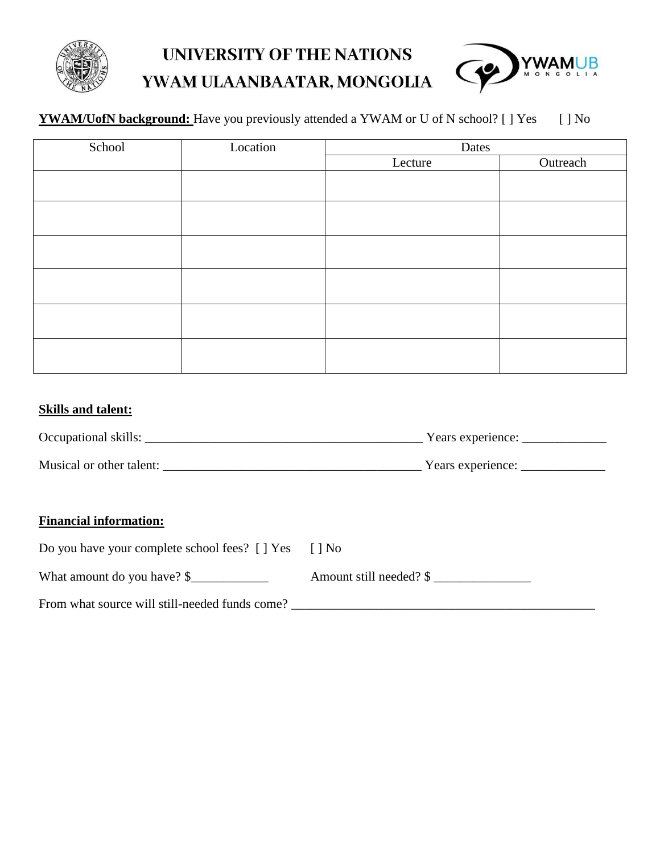

## **UNIVERSITY OF THE NATIONS** YWAM ULAANBAATAR, MONGOLIA



#### YWAM/UofN background: Have you previously attended a YWAM or U of N school? [ ] Yes [ ] No

| School | Location | Dates   |          |
|--------|----------|---------|----------|
|        |          | Lecture | Outreach |
|        |          |         |          |
|        |          |         |          |
|        |          |         |          |
|        |          |         |          |
|        |          |         |          |
|        |          |         |          |
|        |          |         |          |
|        |          |         |          |
|        |          |         |          |
|        |          |         |          |
|        |          |         |          |
|        |          |         |          |

#### **Skills and talent:**

| Occupational skills:     | Years experience: |  |
|--------------------------|-------------------|--|
|                          |                   |  |
| Musical or other talent: | Years experience: |  |

#### **Financial information:**

| Do you have your complete school fees? [] Yes  | l I No                  |
|------------------------------------------------|-------------------------|
| What amount do you have? \$                    | Amount still needed? \$ |
| From what source will still-needed funds come? |                         |